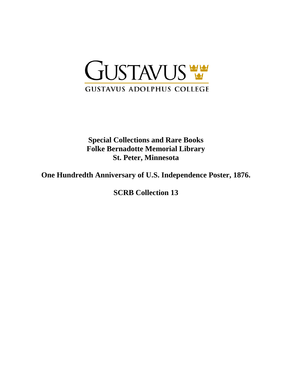

**Special Collections and Rare Books Folke Bernadotte Memorial Library St. Peter, Minnesota**

**One Hundredth Anniversary of U.S. Independence Poster, 1876.**

**SCRB Collection 13**